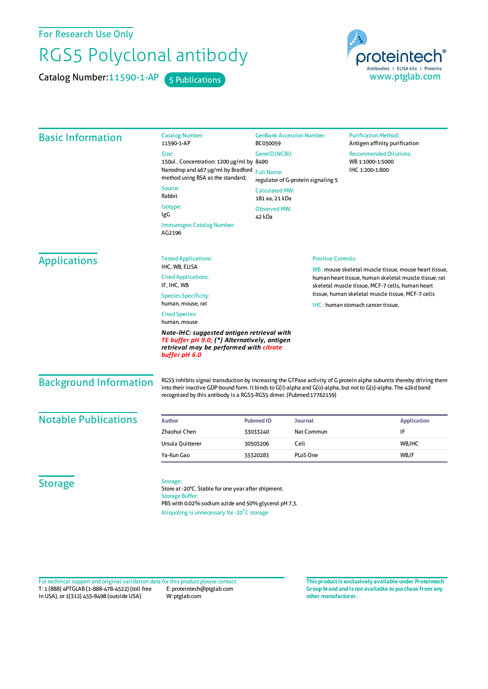For Research Use Only

## RGS5 Polyclonal antibody

Catalog Number: 11590-1-AP 5 Publications



| <b>Basic Information</b>      | <b>Catalog Number:</b><br>11590-1-AP                                                                                                                                                                                                                                                                           | <b>GenBank Accession Number:</b><br>BC030059<br>GenelD (NCBI):<br><b>Full Name:</b><br>regulator of G-protein signaling 5<br><b>Calculated MW:</b><br>181 aa, 21 kDa<br><b>Observed MW:</b> |                                                       | <b>Purification Method:</b><br>Antigen affinity purification                                              |  |
|-------------------------------|----------------------------------------------------------------------------------------------------------------------------------------------------------------------------------------------------------------------------------------------------------------------------------------------------------------|---------------------------------------------------------------------------------------------------------------------------------------------------------------------------------------------|-------------------------------------------------------|-----------------------------------------------------------------------------------------------------------|--|
|                               | Size:                                                                                                                                                                                                                                                                                                          |                                                                                                                                                                                             |                                                       | <b>Recommended Dilutions:</b><br>WB 1:1000-1:5000<br>IHC 1:200-1:800                                      |  |
|                               | 150ul, Concentration: 1200 µg/ml by 8490                                                                                                                                                                                                                                                                       |                                                                                                                                                                                             |                                                       |                                                                                                           |  |
|                               | Nanodrop and 467 µg/ml by Bradford<br>method using BSA as the standard;                                                                                                                                                                                                                                        |                                                                                                                                                                                             |                                                       |                                                                                                           |  |
|                               | Source:<br>Rabbit                                                                                                                                                                                                                                                                                              |                                                                                                                                                                                             |                                                       |                                                                                                           |  |
|                               | Isotype:<br>IgG                                                                                                                                                                                                                                                                                                |                                                                                                                                                                                             |                                                       |                                                                                                           |  |
|                               | Immunogen Catalog Number:<br>AG2196                                                                                                                                                                                                                                                                            | 42 kDa                                                                                                                                                                                      |                                                       |                                                                                                           |  |
| <b>Applications</b>           | <b>Tested Applications:</b>                                                                                                                                                                                                                                                                                    |                                                                                                                                                                                             | <b>Positive Controls:</b>                             |                                                                                                           |  |
|                               | IHC, WB, ELISA                                                                                                                                                                                                                                                                                                 |                                                                                                                                                                                             | WB: mouse skeletal muscle tissue, mouse heart tissue, |                                                                                                           |  |
|                               | <b>Cited Applications:</b><br>IF, IHC, WB                                                                                                                                                                                                                                                                      |                                                                                                                                                                                             |                                                       | human heart tissue, human skeletal muscle tissue, rat<br>skeletal muscle tissue, MCF-7 cells, human heart |  |
|                               | <b>Species Specificity:</b><br>human, mouse, rat                                                                                                                                                                                                                                                               | tissue, human skeletal muscle tissue, MCF-7 cells<br>IHC: human stomach cancer tissue,                                                                                                      |                                                       |                                                                                                           |  |
|                               | <b>Cited Species:</b><br>human, mouse                                                                                                                                                                                                                                                                          |                                                                                                                                                                                             |                                                       |                                                                                                           |  |
|                               | Note-IHC: suggested antigen retrieval with<br>TE buffer pH 9.0; (*) Alternatively, antigen<br>retrieval may be performed with citrate<br>buffer pH 6.0                                                                                                                                                         |                                                                                                                                                                                             |                                                       |                                                                                                           |  |
| <b>Background Information</b> | RGS5 inhibits signal transduction by increasing the GTPase activity of G protein alpha subunits thereby driving them<br>into their inactive GDP-bound form. It binds to G(i)-alpha and G(o)-alpha, but not to G(s)-alpha. The 42kd band<br>recognized by this antibody is a RGS5-RGS5 dimer. (Pubmed:17762159) |                                                                                                                                                                                             |                                                       |                                                                                                           |  |
| <b>Notable Publications</b>   | Author                                                                                                                                                                                                                                                                                                         | Journal<br><b>Pubmed ID</b>                                                                                                                                                                 |                                                       | <b>Application</b>                                                                                        |  |
|                               | Zhaohui Chen                                                                                                                                                                                                                                                                                                   | 33033240                                                                                                                                                                                    | Nat Commun                                            | IF                                                                                                        |  |
|                               | Ursula Quitterer                                                                                                                                                                                                                                                                                               | Cell<br>30503206                                                                                                                                                                            |                                                       | WB, IHC                                                                                                   |  |
|                               | Ya-Kun Gao                                                                                                                                                                                                                                                                                                     | 35320283                                                                                                                                                                                    | PLoS One                                              | WB, IF                                                                                                    |  |
| <b>Storage</b>                | Storage:<br>Store at -20°C. Stable for one year after shipment.<br><b>Storage Buffer:</b><br>PBS with 0.02% sodium azide and 50% glycerol pH 7.3.                                                                                                                                                              |                                                                                                                                                                                             |                                                       |                                                                                                           |  |

T: 1 (888) 4PTGLAB (1-888-478-4522) (toll free in USA), or 1(312) 455-8498 (outside USA) E: proteintech@ptglab.com W: ptglab.com Fortechnical support and original validation data forthis product please contact: **This productis exclusively available under Proteintech**

**Group brand and is not available to purchase from any other manufacturer.**